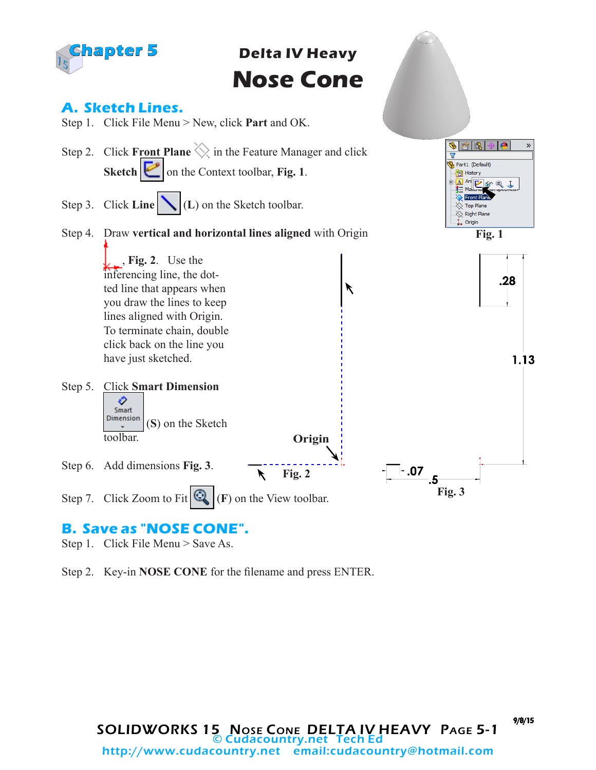

**Delta IV Heavy Nose Cone**



## **B. Save as "NOSE CONE".**

Step 1. Click File Menu > Save As.

Step 2. Key-in **NOSE CONE** for the filename and press ENTER.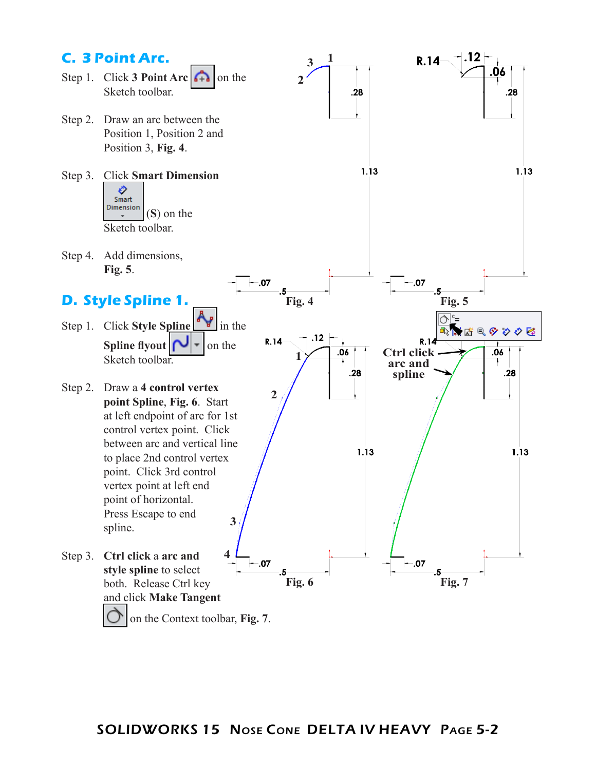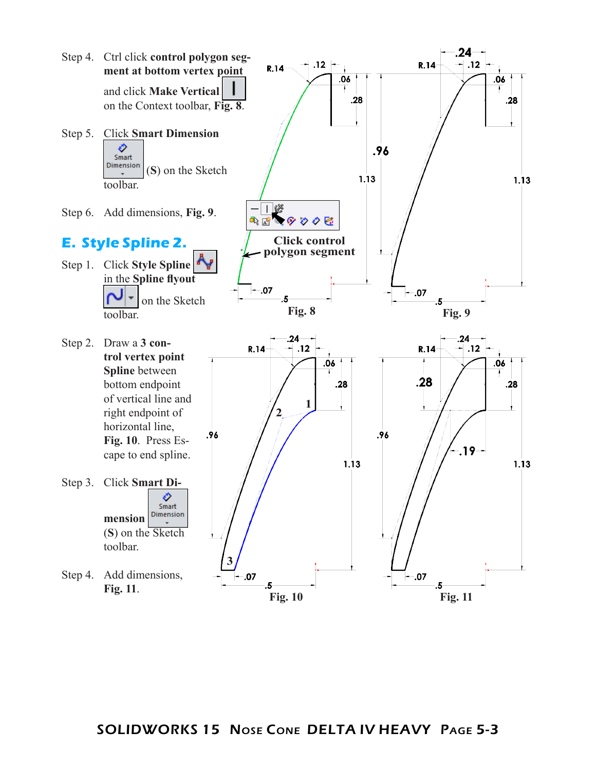